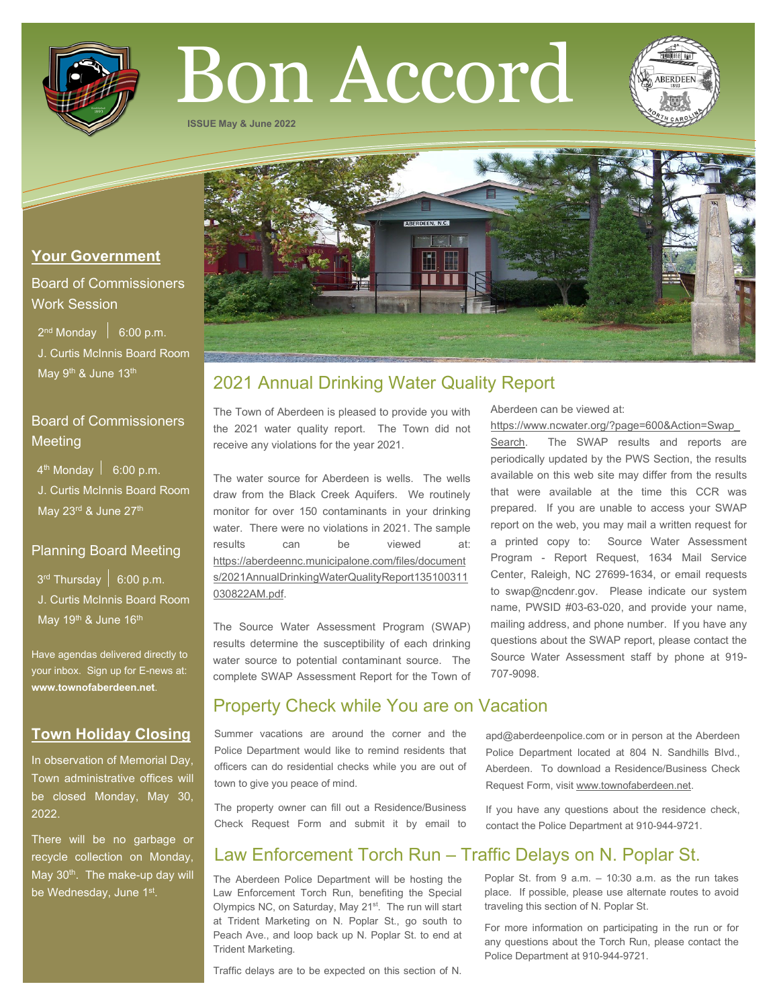

# Bon Accord

**ISSUE May & June 2022**



## **Your Government**

# Board of Commissioners Work Session

 $2^{nd}$  Monday  $\left| 6:00 \text{ p.m.} \right|$  J. Curtis McInnis Board Room May 9<sup>th</sup> & June 13<sup>th</sup>

# Board of Commissioners **Meeting**

 $4<sup>th</sup>$  Monday  $\vert$  6:00 p.m. J. Curtis McInnis Board Room

May 23rd & June 27th

## Planning Board Meeting

 $3<sup>rd</sup>$  Thursday  $\vert 6:00$  p.m. J. Curtis McInnis Board Room May 19<sup>th</sup> & June 16<sup>th</sup>

Have agendas delivered directly to your inbox. Sign up for E-news at: **[www.townofaberdeen.net](http://www.townofaberdeen.net/)**.

# **Town Holiday Closing**

In observation of Memorial Day, Town administrative offices will be closed Monday, May 30, 2022.

There will be no garbage or recycle collection on Monday, May 30<sup>th</sup>. The make-up day will be Wednesday, June 1st.

# 2021 Annual Drinking Water Quality Report

The Town of Aberdeen is pleased to provide you with the 2021 water quality report. The Town did not receive any violations for the year 2021.

The water source for Aberdeen is wells. The wells draw from the Black Creek Aquifers. We routinely monitor for over 150 contaminants in your drinking water. There were no violations in 2021. The sample results can be viewed at: [https://aberdeennc.municipalone.com/files/document](https://aberdeennc.municipalone.com/files/documents/2021AnnualDrinkingWaterQualityReport135100311030822AM.pdf) [s/2021AnnualDrinkingWaterQualityReport135100311](https://aberdeennc.municipalone.com/files/documents/2021AnnualDrinkingWaterQualityReport135100311030822AM.pdf) [030822AM.pdf.](https://aberdeennc.municipalone.com/files/documents/2021AnnualDrinkingWaterQualityReport135100311030822AM.pdf)

The Source Water Assessment Program (SWAP) results determine the susceptibility of each drinking water source to potential contaminant source. The complete SWAP Assessment Report for the Town of

# Property Check while You are on Vacation

Summer vacations are around the corner and the Police Department would like to remind residents that officers can do residential checks while you are out of town to give you peace of mind.

The property owner can fill out a Residence/Business Check Request Form and submit it by email to

# Law Enforcement Torch Run – Traffic Delays on N. Poplar St.

The Aberdeen Police Department will be hosting the Law Enforcement Torch Run, benefiting the Special Olympics NC, on Saturday, May 21<sup>st</sup>. The run will start at Trident Marketing on N. Poplar St., go south to Peach Ave., and loop back up N. Poplar St. to end at Trident Marketing.

Traffic delays are to be expected on this section of N.

Aberdeen can be viewed at:

[https://www.ncwater.org/?page=600&Action=Swap\\_](https://www.ncwater.org/?page=600&Action=Swap_Search)

[Search.](https://www.ncwater.org/?page=600&Action=Swap_Search) The SWAP results and reports are periodically updated by the PWS Section, the results available on this web site may differ from the results that were available at the time this CCR was prepared. If you are unable to access your SWAP report on the web, you may mail a written request for a printed copy to: Source Water Assessment Program - Report Request, 1634 Mail Service Center, Raleigh, NC 27699-1634, or email requests to swap@ncdenr.gov. Please indicate our system name, PWSID #03-63-020, and provide your name, mailing address, and phone number. If you have any questions about the SWAP report, please contact the Source Water Assessment staff by phone at 919- 707-9098.

apd@aberdeenpolice.com or in person at the Aberdeen Police Department located at 804 N. Sandhills Blvd., Aberdeen. To download a Residence/Business Check Request Form, visit www.townofaberdeen.net.

If you have any questions about the residence check, contact the Police Department at 910-944-9721.

Poplar St. from 9 a.m. – 10:30 a.m. as the run takes place. If possible, please use alternate routes to avoid traveling this section of N. Poplar St.

For more information on participating in the run or for any questions about the Torch Run, please contact the Police Department at 910-944-9721.